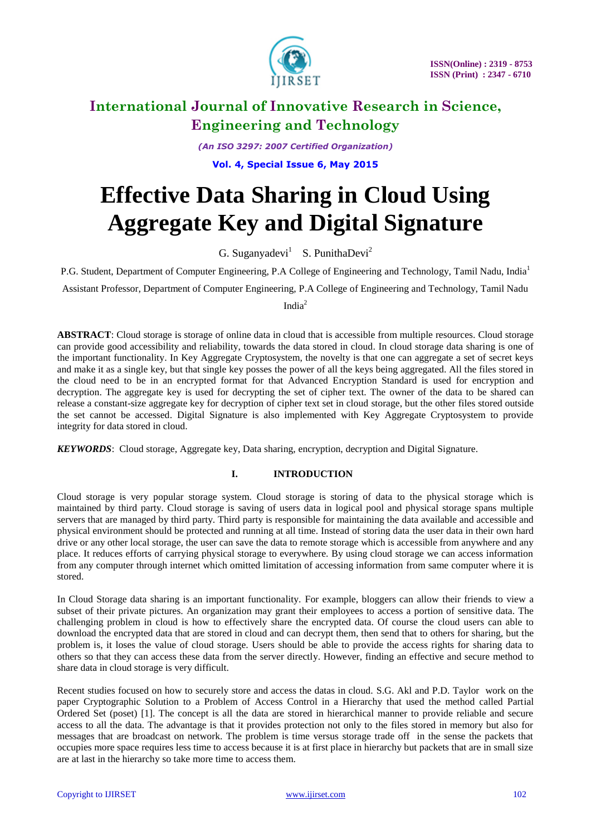

*(An ISO 3297: 2007 Certified Organization)*

**Vol. 4, Special Issue 6, May 2015**

# **Effective Data Sharing in Cloud Using Aggregate Key and Digital Signature**

G. Suganyadevi<sup>1</sup> S. PunithaDevi<sup>2</sup>

P.G. Student, Department of Computer Engineering, P.A College of Engineering and Technology, Tamil Nadu, India<sup>1</sup>

Assistant Professor, Department of Computer Engineering, P.A College of Engineering and Technology, Tamil Nadu

India<sup>2</sup>

ABSTRACT: Cloud storage is storage of online data in cloud that is accessible from multiple resources. Cloud storage can provide good accessibility and reliability, towards the data stored in cloud. In cloud storage data sharing is one of the important functionality. In Key Aggregate Cryptosystem, the novelty is that one can aggregate a set of secret keys and make it as a single key, but that single key posses the power of all the keys being aggregated. All the files stored in the cloud need to be in an encrypted format for that Advanced Encryption Standard is used for encryption and decryption. The aggregate key is used for decrypting the set of cipher text. The owner of the data to be shared can release a constant-size aggregate key for decryption of cipher text set in cloud storage, but the other files stored outside the set cannot be accessed. Digital Signature is also implemented with Key Aggregate Cryptosystem to provide integrity for data stored in cloud.

*KEYWORDS*: Cloud storage, Aggregate key, Data sharing, encryption, decryption and Digital Signature.

### **I. INTRODUCTION**

Cloud storage is very popular storage system. Cloud storage is storing of data to the physical storage which is maintained by third party. Cloud storage is saving of users data in logical pool and physical storage spans multiple servers that are managed by third party. Third party is responsible for maintaining the data available and accessible and physical environment should be protected and running at all time. Instead of storing data the user data in their own hard drive or any other local storage, the user can save the data to remote storage which is accessible from anywhere and any place. It reduces efforts of carrying physical storage to everywhere. By using cloud storage we can access information from any computer through internet which omitted limitation of accessing information from same computer where it is stored.

In Cloud Storage data sharing is an important functionality. For example, bloggers can allow their friends to view a subset of their private pictures. An organization may grant their employees to access a portion of sensitive data. The challenging problem in cloud is how to effectively share the encrypted data. Of course the cloud users can able to download the encrypted data that are stored in cloud and can decrypt them, then send that to others for sharing, but the problem is, it loses the value of cloud storage. Users should be able to provide the access rights for sharing data to others so that they can access these data from the server directly. However, finding an effective and secure method to share data in cloud storage is very difficult.

Recent studies focused on how to securely store and access the datas in cloud. S.G. Akl and P.D. Taylor work on the paper Cryptographic Solution to a Problem of Access Control in a Hierarchy that used the method called Partial Ordered Set (poset) [1]. The concept is all the data are stored in hierarchical manner to provide reliable and secure access to all the data. The advantage is that it provides protection not only to the files stored in memory but also for messages that are broadcast on network. The problem is time versus storage trade off in the sense the packets that occupies more space requires less time to access because it is at first place in hierarchy but packets that are in small size are at last in the hierarchy so take more time to access them.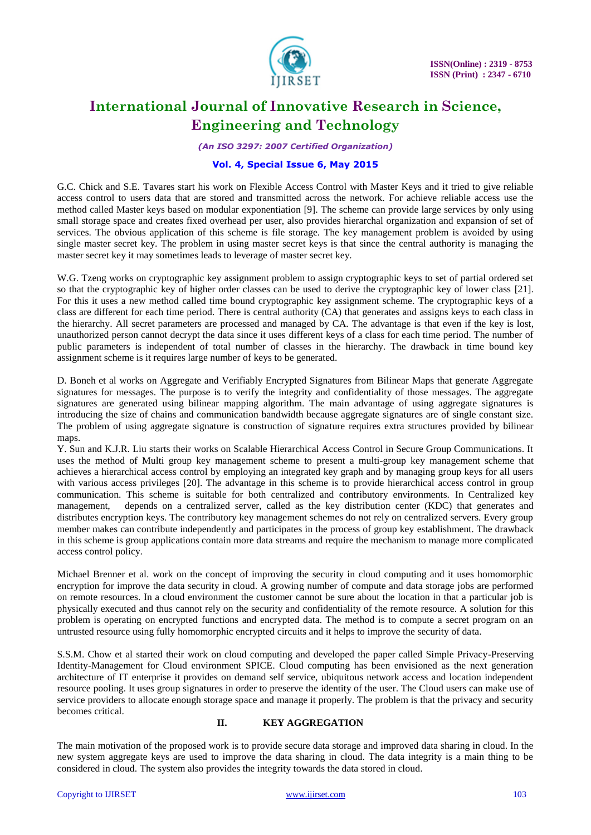

*(An ISO 3297: 2007 Certified Organization)*

#### **Vol. 4, Special Issue 6, May 2015**

G.C. Chick and S.E. Tavares start his work on Flexible Access Control with Master Keys and it tried to give reliable access control to users data that are stored and transmitted across the network. For achieve reliable access use the method called Master keys based on modular exponentiation [9]. The scheme can provide large services by only using small storage space and creates fixed overhead per user, also provides hierarchal organization and expansion of set of services. The obvious application of this scheme is file storage. The key management problem is avoided by using single master secret key. The problem in using master secret keys is that since the central authority is managing the master secret key it may sometimes leads to leverage of master secret key.

W.G. Tzeng works on cryptographic key assignment problem to assign cryptographic keys to set of partial ordered set so that the cryptographic key of higher order classes can be used to derive the cryptographic key of lower class [21]. For this it uses a new method called time bound cryptographic key assignment scheme. The cryptographic keys of a class are different for each time period. There is central authority (CA) that generates and assigns keys to each class in the hierarchy. All secret parameters are processed and managed by CA. The advantage is that even if the key is lost, unauthorized person cannot decrypt the data since it uses different keys of a class for each time period. The number of public parameters is independent of total number of classes in the hierarchy. The drawback in time bound key assignment scheme is it requires large number of keys to be generated.

D. Boneh et al works on Aggregate and Verifiably Encrypted Signatures from Bilinear Maps that generate Aggregate signatures for messages. The purpose is to verify the integrity and confidentiality of those messages. The aggregate signatures are generated using bilinear mapping algorithm. The main advantage of using aggregate signatures is introducing the size of chains and communication bandwidth because aggregate signatures are of single constant size. The problem of using aggregate signature is construction of signature requires extra structures provided by bilinear maps

Y. Sun and K.J.R. Liu starts their works on Scalable Hierarchical Access Control in Secure Group Communications. It uses the method of Multi group key management scheme to present a multi-group key management scheme that achieves a hierarchical access control by employing an integrated key graph and by managing group keys for all users with various access privileges [20]. The advantage in this scheme is to provide hierarchical access control in group communication. This scheme is suitable for both centralized and contributory environments. In Centralized key management, depends on a centralized server, called as the key distribution center (KDC) that generates and distributes encryption keys. The contributory key management schemes do not rely on centralized servers. Every group member makes can contribute independently and participates in the process of group key establishment. The drawback in this scheme is group applications contain more data streams and require the mechanism to manage more complicated access control policy.

Michael Brenner et al. work on the concept of improving the security in cloud computing and it uses homomorphic encryption for improve the data security in cloud. A growing number of compute and data storage jobs are performed on remote resources. In a cloud environment the customer cannot be sure about the location in that a particular job is physically executed and thus cannot rely on the security and confidentiality of the remote resource. A solution for this problem is operating on encrypted functions and encrypted data. The method is to compute a secret program on an untrusted resource using fully homomorphic encrypted circuits and it helps to improve the security of data.

S.S.M. Chow et al started their work on cloud computing and developed the paper called Simple Privacy-Preserving Identity-Management for Cloud environment SPICE. Cloud computing has been envisioned as the next generation architecture of IT enterprise it provides on demand self service, ubiquitous network access and location independent resource pooling. It uses group signatures in order to preserve the identity of the user. The Cloud users can make use of service providers to allocate enough storage space and manage it properly. The problem is that the privacy and security becomes critical.

#### **II. KEY AGGREGATION**

The main motivation of the proposed work is to provide secure data storage and improved data sharing in cloud. In the new system aggregate keys are used to improve the data sharing in cloud. The data integrity is a main thing to be considered in cloud. The system also provides the integrity towards the data stored in cloud.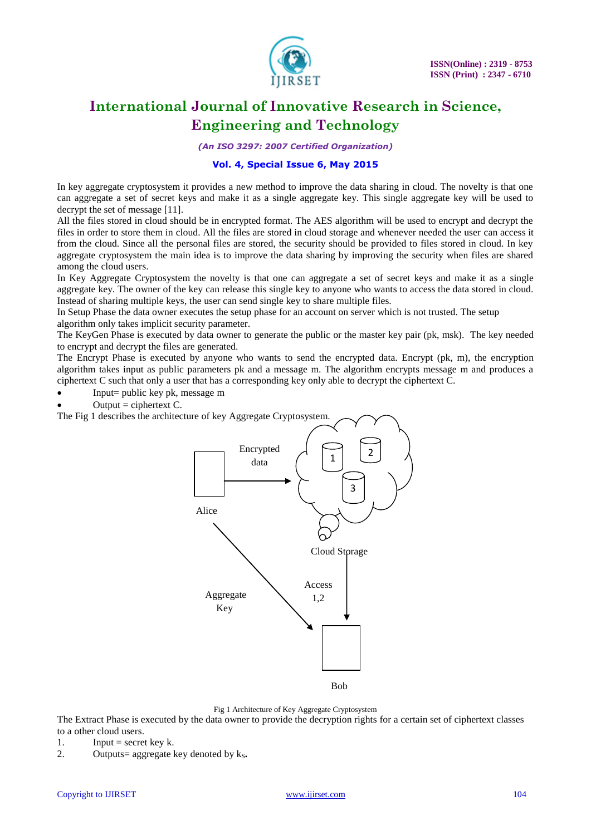

*(An ISO 3297: 2007 Certified Organization)*

### **Vol. 4, Special Issue 6, May 2015**

In key aggregate cryptosystem it provides a new method to improve the data sharing in cloud. The novelty is that one can aggregate a set of secret keys and make it as a single aggregate key. This single aggregate key will be used to decrypt the set of message [11].

All the files stored in cloud should be in encrypted format. The AES algorithm will be used to encrypt and decrypt the files in order to store them in cloud. All the files are stored in cloud storage and whenever needed the user can access it from the cloud. Since all the personal files are stored, the security should be provided to files stored in cloud. In key aggregate cryptosystem the main idea is to improve the data sharing by improving the security when files are shared among the cloud users.

In Key Aggregate Cryptosystem the novelty is that one can aggregate a set of secret keys and make it as a single aggregate key. The owner of the key can release this single key to anyone who wants to access the data stored in cloud. Instead of sharing multiple keys, the user can send single key to share multiple files.

In Setup Phase the data owner executes the setup phase for an account on server which is not trusted. The setup algorithm only takes implicit security parameter.

The KeyGen Phase is executed by data owner to generate the public or the master key pair (pk, msk). The key needed to encrypt and decrypt the files are generated.

The Encrypt Phase is executed by anyone who wants to send the encrypted data. Encrypt (pk, m), the encryption algorithm takes input as public parameters pk and a message m. The algorithm encrypts message m and produces a ciphertext C such that only a user that has a corresponding key only able to decrypt the ciphertext C.

- Input= public key pk, message m
- Output  $=$  ciphertext  $C$ .

The Fig 1 describes the architecture of key Aggregate Cryptosystem.



Fig 1 Architecture of Key Aggregate Cryptosystem

The Extract Phase is executed by the data owner to provide the decryption rights for a certain set of ciphertext classes to a other cloud users.

- 1. Input = secret key k.
- 2. Outputs= aggregate key denoted by  $k<sub>s</sub>$ .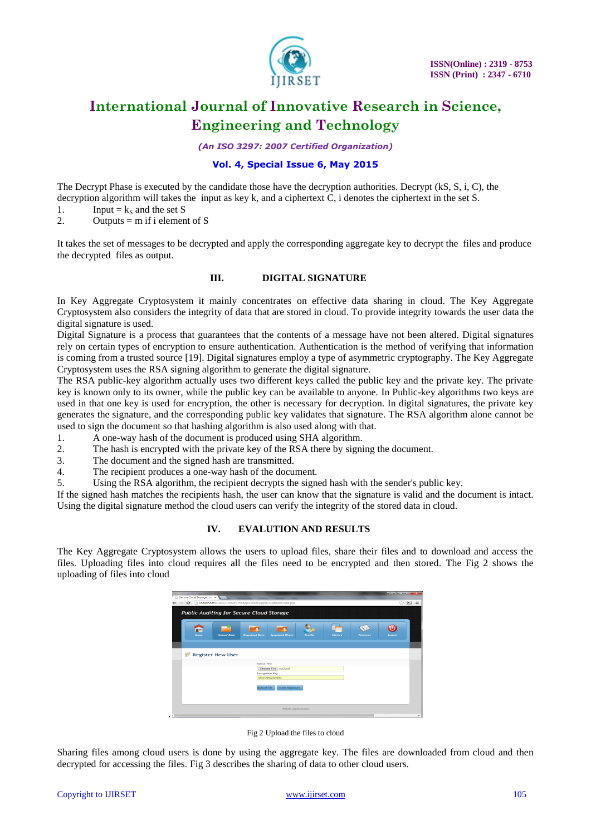

*(An ISO 3297: 2007 Certified Organization)*

### **Vol. 4, Special Issue 6, May 2015**

The Decrypt Phase is executed by the candidate those have the decryption authorities. Decrypt (kS, S, i, C), the decryption algorithm will takes the input as key k, and a ciphertext C, i denotes the ciphertext in the set S.

- 1. Input =  $k_S$  and the set S<br>2. Outputs = m if i elemen
- Outputs  $=$  m if i element of S

It takes the set of messages to be decrypted and apply the corresponding aggregate key to decrypt the files and produce the decrypted files as output.

#### **III. DIGITAL SIGNATURE**

In Key Aggregate Cryptosystem it mainly concentrates on effective data sharing in cloud. The Key Aggregate Cryptosystem also considers the integrity of data that are stored in cloud. To provide integrity towards the user data the digital signature is used.

Digital Signature is a process that guarantees that the contents of a message have not been altered. Digital signatures rely on certain types of encryption to ensure authentication. Authentication is the method of verifying that information is coming from a trusted source [19]. Digital signatures employ a type of [asymmetric cryptography.](http://en.wikipedia.org/wiki/Asymmetric_key_algorithm) The Key Aggregate Cryptosystem uses the RSA signing algorithm to generate the digital signature.

The RSA public-key algorithm actually uses two different keys called the public key and the private key. The private key is known only to its owner, while the public key can be available to anyone. In Public-key algorithms two keys are used in that one key is used for encryption, the other is necessary for decryption. In digital signatures, the private key generates the signature, and the corresponding public key validates that signature. The RSA algorithm alone cannot be used to sign the document so that hashing algorithm is also used along with that.

1. A one-way hash of the document is produced using SHA algorithm.

- 2. The hash is encrypted with the private key of the RSA there by signing the document.
- 3. The document and the signed hash are transmitted.<br>4. The recipient produces a one-way hash of the document
- The recipient produces a one-way hash of the document.

5. Using the RSA algorithm, the recipient decrypts the signed hash with the sender's public key.

If the signed hash matches the recipients hash, the user can know that the signature is valid and the document is intact. Using the digital signature method the cloud users can verify the integrity of the stored data in cloud.

#### **IV. EVALUTION AND RESULTS**

The Key Aggregate Cryptosystem allows the users to upload files, share their files and to download and access the files. Uploading files into cloud requires all the files need to be encrypted and then stored. The Fig 2 shows the uploading of files into cloud

|           |                          | Public Auditing for Secure Cloud Storage |                                               |         |         |                 |        |
|-----------|--------------------------|------------------------------------------|-----------------------------------------------|---------|---------|-----------------|--------|
| œ<br>Home | <b>Unload Data</b>       | <b>Download Data</b>                     | <b>Download Direct</b>                        | Profile | History | <b>Features</b> | Logout |
|           |                          |                                          |                                               |         |         |                 |        |
| Z         | <b>Register New User</b> |                                          |                                               |         |         |                 |        |
|           |                          | <b>Select File</b>                       |                                               |         |         |                 |        |
|           |                          |                                          | Choose File aes2.pdf<br><b>Encryption Key</b> |         |         |                 |        |
|           |                          |                                          | 1234123412341234                              |         |         |                 |        |
|           |                          | <b>Upload File</b>                       | Create Signature                              |         |         |                 |        |
|           |                          |                                          |                                               |         |         |                 |        |

Fig 2 Upload the files to cloud

Sharing files among cloud users is done by using the aggregate key. The files are downloaded from cloud and then decrypted for accessing the files. Fig 3 describes the sharing of data to other cloud users.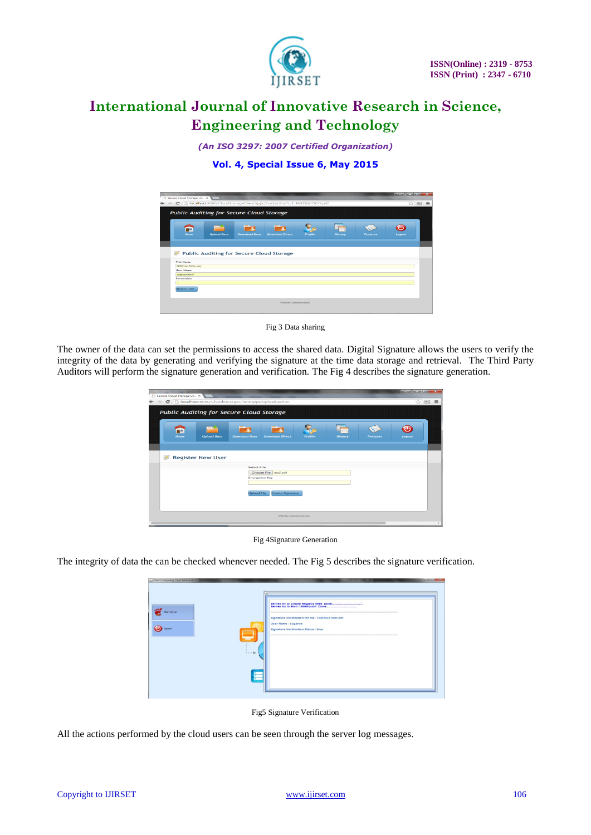

*(An ISO 3297: 2007 Certified Organization)*

### **Vol. 4, Special Issue 6, May 2015**





The owner of the data can set the permissions to access the shared data. Digital Signature allows the users to verify the integrity of the data by generating and verifying the signature at the time data storage and retrieval. The Third Party Auditors will perform the signature generation and verification. The Fig 4 describes the signature generation.

| Secure Cloud Storage Use X |                          | C   bcalhost:8080/CloudStorageClientApps/upload.action<br>Public Auditing for Secure Cloud Storage |                        |         |                |                 | ☆ 国    |
|----------------------------|--------------------------|----------------------------------------------------------------------------------------------------|------------------------|---------|----------------|-----------------|--------|
| æ<br>Home                  | <b>Upload Data</b>       | <b>Download Data</b>                                                                               | <b>Download Direct</b> | Profile | <b>History</b> | <b>Features</b> | Logout |
|                            | <b>Register New User</b> |                                                                                                    |                        |         |                |                 |        |
|                            |                          | <b>Select File</b><br><b>Encryption Key</b>                                                        | Choose File aes2.pdf   |         |                |                 |        |
|                            |                          |                                                                                                    |                        |         |                |                 |        |

Fig 4Signature Generation

The integrity of data the can be checked whenever needed. The Fig 5 describes the signature verification.

| Conra Computing Third Party Auditor:<br><b>Rant Server</b><br><b>Sgraut</b> | m | <b>School &amp; School &amp; School Print</b><br>Signature Verification for file : FERTIGATION.pdf<br>User Name : suganya<br><b>Signature Verification Status : true</b> |  |
|-----------------------------------------------------------------------------|---|--------------------------------------------------------------------------------------------------------------------------------------------------------------------------|--|
|                                                                             |   |                                                                                                                                                                          |  |

Fig5 Signature Verification

All the actions performed by the cloud users can be seen through the server log messages.